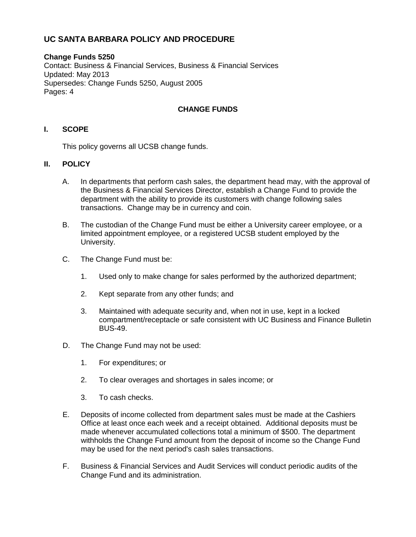# **UC SANTA BARBARA POLICY AND PROCEDURE**

#### **Change Funds 5250** Contact: Business & Financial Services, Business & Financial Services Updated: May 2013 Supersedes: Change Funds 5250, August 2005 Pages: 4

## **CHANGE FUNDS**

## **I. SCOPE**

This policy governs all UCSB change funds.

#### **II. POLICY**

- A. In departments that perform cash sales, the department head may, with the approval of the Business & Financial Services Director, establish a Change Fund to provide the department with the ability to provide its customers with change following sales transactions. Change may be in currency and coin.
- B. The custodian of the Change Fund must be either a University career employee, or a limited appointment employee, or a registered UCSB student employed by the University.
- C. The Change Fund must be:
	- 1. Used only to make change for sales performed by the authorized department;
	- 2. Kept separate from any other funds; and
	- 3. Maintained with adequate security and, when not in use, kept in a locked compartment/receptacle or safe consistent with UC Business and Finance Bulletin BUS-49.
- D. The Change Fund may not be used:
	- 1. For expenditures; or
	- 2. To clear overages and shortages in sales income; or
	- 3. To cash checks.
- E. Deposits of income collected from department sales must be made at the Cashiers Office at least once each week and a receipt obtained. Additional deposits must be made whenever accumulated collections total a minimum of \$500. The department withholds the Change Fund amount from the deposit of income so the Change Fund may be used for the next period's cash sales transactions.
- F. Business & Financial Services and Audit Services will conduct periodic audits of the Change Fund and its administration.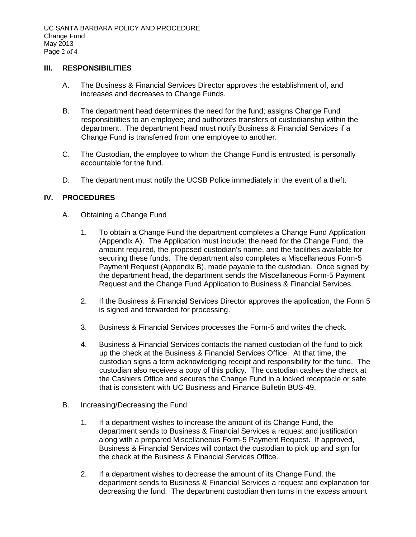#### **III. RESPONSIBILITIES**

- A. The Business & Financial Services Director approves the establishment of, and increases and decreases to Change Funds.
- B. The department head determines the need for the fund; assigns Change Fund responsibilities to an employee; and authorizes transfers of custodianship within the department. The department head must notify Business & Financial Services if a Change Fund is transferred from one employee to another.
- C. The Custodian, the employee to whom the Change Fund is entrusted, is personally accountable for the fund.
- D. The department must notify the UCSB Police immediately in the event of a theft.

## **IV. PROCEDURES**

- A. Obtaining a Change Fund
	- 1. To obtain a Change Fund the department completes a Change Fund Application (Appendix A). The Application must include: the need for the Change Fund, the amount required, the proposed custodian's name, and the facilities available for securing these funds. The department also completes a Miscellaneous Form-5 Payment Request (Appendix B), made payable to the custodian. Once signed by the department head, the department sends the Miscellaneous Form-5 Payment Request and the Change Fund Application to Business & Financial Services.
	- 2. If the Business & Financial Services Director approves the application, the Form 5 is signed and forwarded for processing.
	- 3. Business & Financial Services processes the Form-5 and writes the check.
	- 4. Business & Financial Services contacts the named custodian of the fund to pick up the check at the Business & Financial Services Office. At that time, the custodian signs a form acknowledging receipt and responsibility for the fund. The custodian also receives a copy of this policy. The custodian cashes the check at the Cashiers Office and secures the Change Fund in a locked receptacle or safe that is consistent with UC Business and Finance Bulletin BUS-49.
- B. Increasing/Decreasing the Fund
	- 1. If a department wishes to increase the amount of its Change Fund, the department sends to Business & Financial Services a request and justification along with a prepared Miscellaneous Form-5 Payment Request. If approved, Business & Financial Services will contact the custodian to pick up and sign for the check at the Business & Financial Services Office.
	- 2. If a department wishes to decrease the amount of its Change Fund, the department sends to Business & Financial Services a request and explanation for decreasing the fund. The department custodian then turns in the excess amount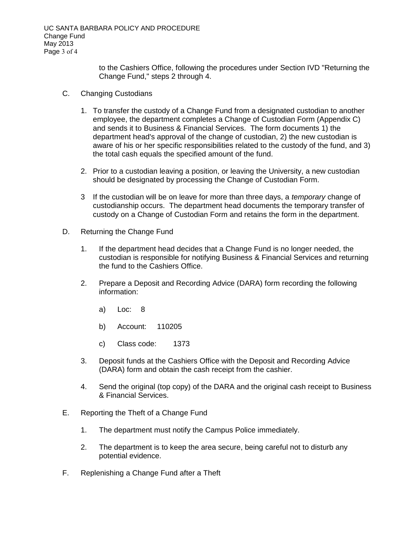to the Cashiers Office, following the procedures under Section IVD "Returning the Change Fund," steps 2 through 4.

- C. Changing Custodians
	- 1. To transfer the custody of a Change Fund from a designated custodian to another employee, the department completes a Change of Custodian Form (Appendix C) and sends it to Business & Financial Services. The form documents 1) the department head's approval of the change of custodian, 2) the new custodian is aware of his or her specific responsibilities related to the custody of the fund, and 3) the total cash equals the specified amount of the fund.
	- 2. Prior to a custodian leaving a position, or leaving the University, a new custodian should be designated by processing the Change of Custodian Form.
	- 3 If the custodian will be on leave for more than three days, a *temporary* change of custodianship occurs. The department head documents the temporary transfer of custody on a Change of Custodian Form and retains the form in the department.
- D. Returning the Change Fund
	- 1. If the department head decides that a Change Fund is no longer needed, the custodian is responsible for notifying Business & Financial Services and returning the fund to the Cashiers Office.
	- 2. Prepare a Deposit and Recording Advice (DARA) form recording the following information:
		- a) Loc: 8
		- b) Account: 110205
		- c) Class code: 1373
	- 3. Deposit funds at the Cashiers Office with the Deposit and Recording Advice (DARA) form and obtain the cash receipt from the cashier.
	- 4. Send the original (top copy) of the DARA and the original cash receipt to Business & Financial Services.
- E. Reporting the Theft of a Change Fund
	- 1. The department must notify the Campus Police immediately.
	- 2. The department is to keep the area secure, being careful not to disturb any potential evidence.
- F. Replenishing a Change Fund after a Theft